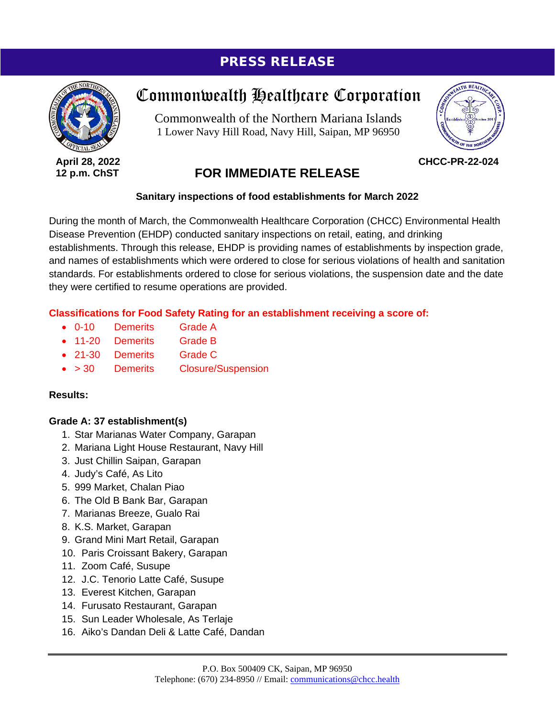# PRESS RELEASE



**April 28, 2022 12 p.m. ChST**

# Commonwealth Healthcare Corporation

Commonwealth of the Northern Mariana Islands 1 Lower Navy Hill Road, Navy Hill, Saipan, MP 96950



**CHCC-PR-22-024**

# **FOR IMMEDIATE RELEASE**

#### **Sanitary inspections of food establishments for March 2022**

During the month of March, the Commonwealth Healthcare Corporation (CHCC) Environmental Health Disease Prevention (EHDP) conducted sanitary inspections on retail, eating, and drinking establishments. Through this release, EHDP is providing names of establishments by inspection grade, and names of establishments which were ordered to close for serious violations of health and sanitation standards. For establishments ordered to close for serious violations, the suspension date and the date they were certified to resume operations are provided.

#### **Classifications for Food Safety Rating for an establishment receiving a score of:**

- 0-10 Demerits Grade A
- 11-20 Demerits Grade B
- 21-30 Demerits Grade C
- > 30 Demerits Closure/Suspension

#### **Results:**

#### **Grade A: 37 establishment(s)**

- 1. Star Marianas Water Company, Garapan
- 2. Mariana Light House Restaurant, Navy Hill
- 3. Just Chillin Saipan, Garapan
- 4. Judy's Café, As Lito
- 5. 999 Market, Chalan Piao
- 6. The Old B Bank Bar, Garapan
- 7. Marianas Breeze, Gualo Rai
- 8. K.S. Market, Garapan
- 9. Grand Mini Mart Retail, Garapan
- 10. Paris Croissant Bakery, Garapan
- 11. Zoom Café, Susupe
- 12. J.C. Tenorio Latte Café, Susupe
- 13. Everest Kitchen, Garapan
- 14. Furusato Restaurant, Garapan
- 15. Sun Leader Wholesale, As Terlaje
- 16. Aiko's Dandan Deli & Latte Café, Dandan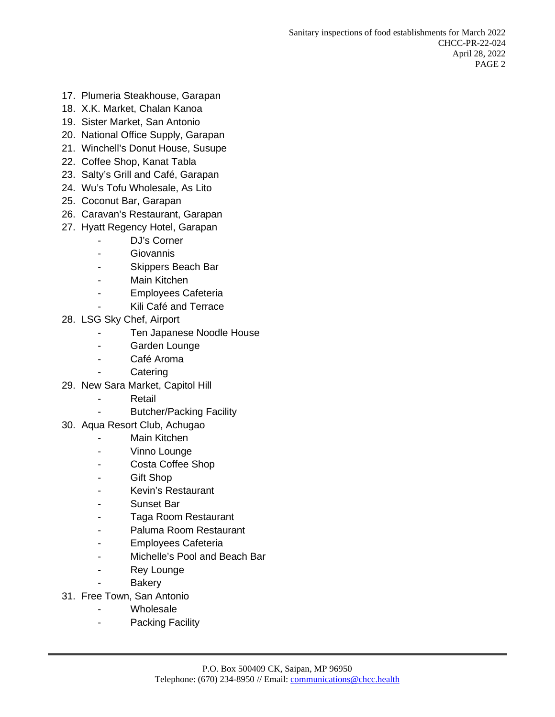- 17. Plumeria Steakhouse, Garapan
- 18. X.K. Market, Chalan Kanoa
- 19. Sister Market, San Antonio
- 20. National Office Supply, Garapan
- 21. Winchell's Donut House, Susupe
- 22. Coffee Shop, Kanat Tabla
- 23. Salty's Grill and Café, Garapan
- 24. Wu's Tofu Wholesale, As Lito
- 25. Coconut Bar, Garapan
- 26. Caravan's Restaurant, Garapan
- 27. Hyatt Regency Hotel, Garapan
	- DJ's Corner
	- **Giovannis**
	- Skippers Beach Bar
	- Main Kitchen
	- Employees Cafeteria
	- Kili Café and Terrace
- 28. LSG Sky Chef, Airport
	- Ten Japanese Noodle House
	- Garden Lounge
	- Café Aroma
	- **Catering**
- 29. New Sara Market, Capitol Hill
	- Retail
	- Butcher/Packing Facility
- 30. Aqua Resort Club, Achugao
	- Main Kitchen
	- Vinno Lounge
	- Costa Coffee Shop
	- Gift Shop
	- Kevin's Restaurant
	- Sunset Bar
	- Taga Room Restaurant
	- Paluma Room Restaurant
	- Employees Cafeteria
	- Michelle's Pool and Beach Bar
	- Rey Lounge
	- **Bakery**
- 31. Free Town, San Antonio
	- Wholesale
	- Packing Facility